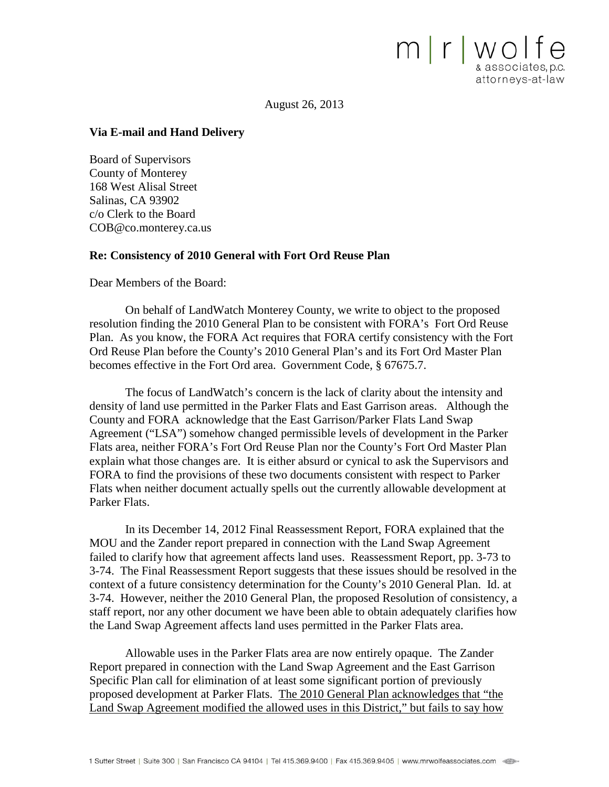August 26, 2013

mrwolfe

& associates, p.c. attorneys-at-law

#### **Via E-mail and Hand Delivery**

Board of Supervisors County of Monterey 168 West Alisal Street Salinas, CA 93902 c/o Clerk to the Board COB@co.monterey.ca.us

#### **Re: Consistency of 2010 General with Fort Ord Reuse Plan**

Dear Members of the Board:

On behalf of LandWatch Monterey County, we write to object to the proposed resolution finding the 2010 General Plan to be consistent with FORA's Fort Ord Reuse Plan. As you know, the FORA Act requires that FORA certify consistency with the Fort Ord Reuse Plan before the County's 2010 General Plan's and its Fort Ord Master Plan becomes effective in the Fort Ord area. Government Code, § 67675.7.

The focus of LandWatch's concern is the lack of clarity about the intensity and density of land use permitted in the Parker Flats and East Garrison areas. Although the County and FORA acknowledge that the East Garrison/Parker Flats Land Swap Agreement ("LSA") somehow changed permissible levels of development in the Parker Flats area, neither FORA's Fort Ord Reuse Plan nor the County's Fort Ord Master Plan explain what those changes are. It is either absurd or cynical to ask the Supervisors and FORA to find the provisions of these two documents consistent with respect to Parker Flats when neither document actually spells out the currently allowable development at Parker Flats.

In its December 14, 2012 Final Reassessment Report, FORA explained that the MOU and the Zander report prepared in connection with the Land Swap Agreement failed to clarify how that agreement affects land uses. Reassessment Report, pp. 3-73 to 3-74. The Final Reassessment Report suggests that these issues should be resolved in the context of a future consistency determination for the County's 2010 General Plan. Id. at 3-74. However, neither the 2010 General Plan, the proposed Resolution of consistency, a staff report, nor any other document we have been able to obtain adequately clarifies how the Land Swap Agreement affects land uses permitted in the Parker Flats area.

Allowable uses in the Parker Flats area are now entirely opaque. The Zander Report prepared in connection with the Land Swap Agreement and the East Garrison Specific Plan call for elimination of at least some significant portion of previously proposed development at Parker Flats. The 2010 General Plan acknowledges that "the Land Swap Agreement modified the allowed uses in this District," but fails to say how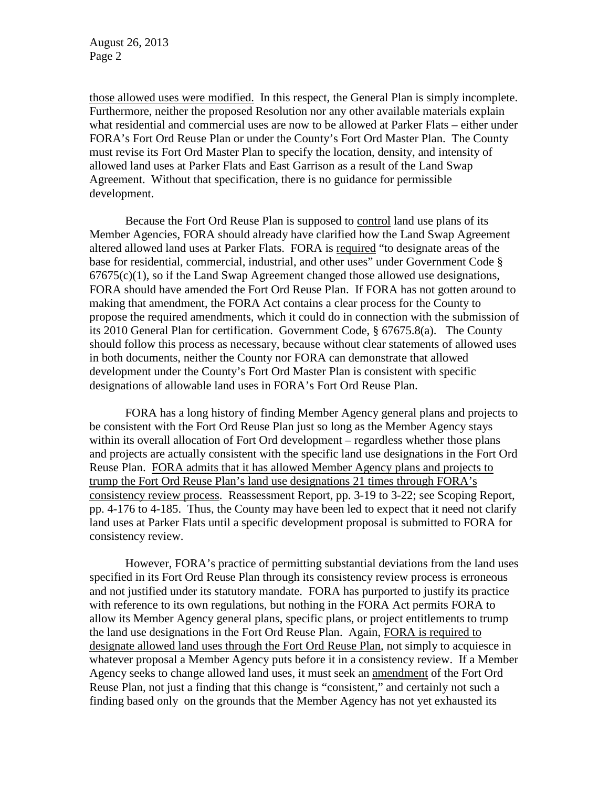those allowed uses were modified. In this respect, the General Plan is simply incomplete. Furthermore, neither the proposed Resolution nor any other available materials explain what residential and commercial uses are now to be allowed at Parker Flats – either under FORA's Fort Ord Reuse Plan or under the County's Fort Ord Master Plan. The County must revise its Fort Ord Master Plan to specify the location, density, and intensity of allowed land uses at Parker Flats and East Garrison as a result of the Land Swap Agreement. Without that specification, there is no guidance for permissible development.

Because the Fort Ord Reuse Plan is supposed to control land use plans of its Member Agencies, FORA should already have clarified how the Land Swap Agreement altered allowed land uses at Parker Flats. FORA is required "to designate areas of the base for residential, commercial, industrial, and other uses" under Government Code §  $67675(c)(1)$ , so if the Land Swap Agreement changed those allowed use designations, FORA should have amended the Fort Ord Reuse Plan. If FORA has not gotten around to making that amendment, the FORA Act contains a clear process for the County to propose the required amendments, which it could do in connection with the submission of its 2010 General Plan for certification. Government Code, § 67675.8(a). The County should follow this process as necessary, because without clear statements of allowed uses in both documents, neither the County nor FORA can demonstrate that allowed development under the County's Fort Ord Master Plan is consistent with specific designations of allowable land uses in FORA's Fort Ord Reuse Plan.

FORA has a long history of finding Member Agency general plans and projects to be consistent with the Fort Ord Reuse Plan just so long as the Member Agency stays within its overall allocation of Fort Ord development – regardless whether those plans and projects are actually consistent with the specific land use designations in the Fort Ord Reuse Plan. FORA admits that it has allowed Member Agency plans and projects to trump the Fort Ord Reuse Plan's land use designations 21 times through FORA's consistency review process. Reassessment Report, pp. 3-19 to 3-22; see Scoping Report, pp. 4-176 to 4-185. Thus, the County may have been led to expect that it need not clarify land uses at Parker Flats until a specific development proposal is submitted to FORA for consistency review.

However, FORA's practice of permitting substantial deviations from the land uses specified in its Fort Ord Reuse Plan through its consistency review process is erroneous and not justified under its statutory mandate. FORA has purported to justify its practice with reference to its own regulations, but nothing in the FORA Act permits FORA to allow its Member Agency general plans, specific plans, or project entitlements to trump the land use designations in the Fort Ord Reuse Plan. Again, FORA is required to designate allowed land uses through the Fort Ord Reuse Plan, not simply to acquiesce in whatever proposal a Member Agency puts before it in a consistency review. If a Member Agency seeks to change allowed land uses, it must seek an amendment of the Fort Ord Reuse Plan, not just a finding that this change is "consistent," and certainly not such a finding based only on the grounds that the Member Agency has not yet exhausted its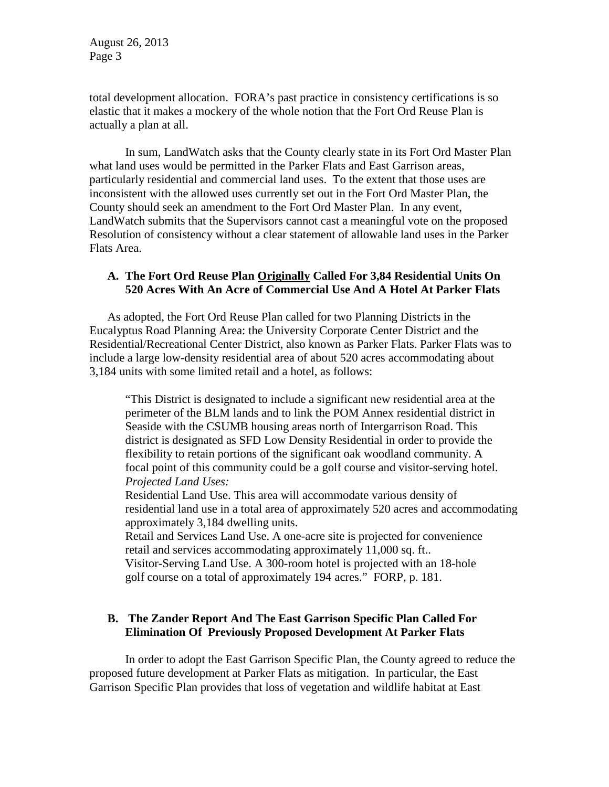total development allocation. FORA's past practice in consistency certifications is so elastic that it makes a mockery of the whole notion that the Fort Ord Reuse Plan is actually a plan at all.

In sum, LandWatch asks that the County clearly state in its Fort Ord Master Plan what land uses would be permitted in the Parker Flats and East Garrison areas, particularly residential and commercial land uses. To the extent that those uses are inconsistent with the allowed uses currently set out in the Fort Ord Master Plan, the County should seek an amendment to the Fort Ord Master Plan. In any event, LandWatch submits that the Supervisors cannot cast a meaningful vote on the proposed Resolution of consistency without a clear statement of allowable land uses in the Parker Flats Area.

# **A. The Fort Ord Reuse Plan Originally Called For 3,84 Residential Units On 520 Acres With An Acre of Commercial Use And A Hotel At Parker Flats**

As adopted, the Fort Ord Reuse Plan called for two Planning Districts in the Eucalyptus Road Planning Area: the University Corporate Center District and the Residential/Recreational Center District, also known as Parker Flats. Parker Flats was to include a large low-density residential area of about 520 acres accommodating about 3,184 units with some limited retail and a hotel, as follows:

"This District is designated to include a significant new residential area at the perimeter of the BLM lands and to link the POM Annex residential district in Seaside with the CSUMB housing areas north of Intergarrison Road. This district is designated as SFD Low Density Residential in order to provide the flexibility to retain portions of the significant oak woodland community. A focal point of this community could be a golf course and visitor-serving hotel. *Projected Land Uses:*

Residential Land Use. This area will accommodate various density of residential land use in a total area of approximately 520 acres and accommodating approximately 3,184 dwelling units.

Retail and Services Land Use. A one-acre site is projected for convenience retail and services accommodating approximately 11,000 sq. ft.. Visitor-Serving Land Use. A 300-room hotel is projected with an 18-hole

golf course on a total of approximately 194 acres." FORP, p. 181.

# **B. The Zander Report And The East Garrison Specific Plan Called For Elimination Of Previously Proposed Development At Parker Flats**

In order to adopt the East Garrison Specific Plan, the County agreed to reduce the proposed future development at Parker Flats as mitigation. In particular, the East Garrison Specific Plan provides that loss of vegetation and wildlife habitat at East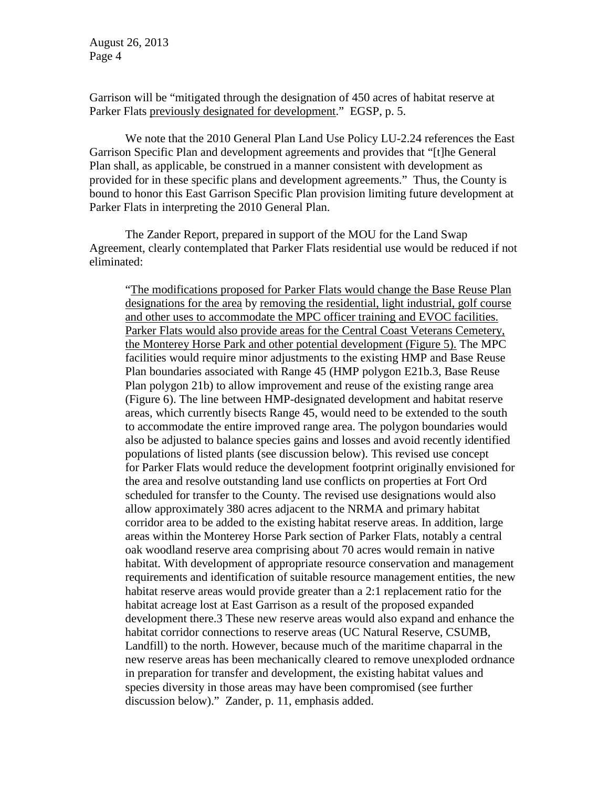Garrison will be "mitigated through the designation of 450 acres of habitat reserve at Parker Flats previously designated for development." EGSP, p. 5.

We note that the 2010 General Plan Land Use Policy LU-2.24 references the East Garrison Specific Plan and development agreements and provides that "[t]he General Plan shall, as applicable, be construed in a manner consistent with development as provided for in these specific plans and development agreements." Thus, the County is bound to honor this East Garrison Specific Plan provision limiting future development at Parker Flats in interpreting the 2010 General Plan.

The Zander Report, prepared in support of the MOU for the Land Swap Agreement, clearly contemplated that Parker Flats residential use would be reduced if not eliminated:

"The modifications proposed for Parker Flats would change the Base Reuse Plan designations for the area by removing the residential, light industrial, golf course and other uses to accommodate the MPC officer training and EVOC facilities. Parker Flats would also provide areas for the Central Coast Veterans Cemetery, the Monterey Horse Park and other potential development (Figure 5). The MPC facilities would require minor adjustments to the existing HMP and Base Reuse Plan boundaries associated with Range 45 (HMP polygon E21b.3, Base Reuse Plan polygon 21b) to allow improvement and reuse of the existing range area (Figure 6). The line between HMP-designated development and habitat reserve areas, which currently bisects Range 45, would need to be extended to the south to accommodate the entire improved range area. The polygon boundaries would also be adjusted to balance species gains and losses and avoid recently identified populations of listed plants (see discussion below). This revised use concept for Parker Flats would reduce the development footprint originally envisioned for the area and resolve outstanding land use conflicts on properties at Fort Ord scheduled for transfer to the County. The revised use designations would also allow approximately 380 acres adjacent to the NRMA and primary habitat corridor area to be added to the existing habitat reserve areas. In addition, large areas within the Monterey Horse Park section of Parker Flats, notably a central oak woodland reserve area comprising about 70 acres would remain in native habitat. With development of appropriate resource conservation and management requirements and identification of suitable resource management entities, the new habitat reserve areas would provide greater than a 2:1 replacement ratio for the habitat acreage lost at East Garrison as a result of the proposed expanded development there.3 These new reserve areas would also expand and enhance the habitat corridor connections to reserve areas (UC Natural Reserve, CSUMB, Landfill) to the north. However, because much of the maritime chaparral in the new reserve areas has been mechanically cleared to remove unexploded ordnance in preparation for transfer and development, the existing habitat values and species diversity in those areas may have been compromised (see further discussion below)." Zander, p. 11, emphasis added.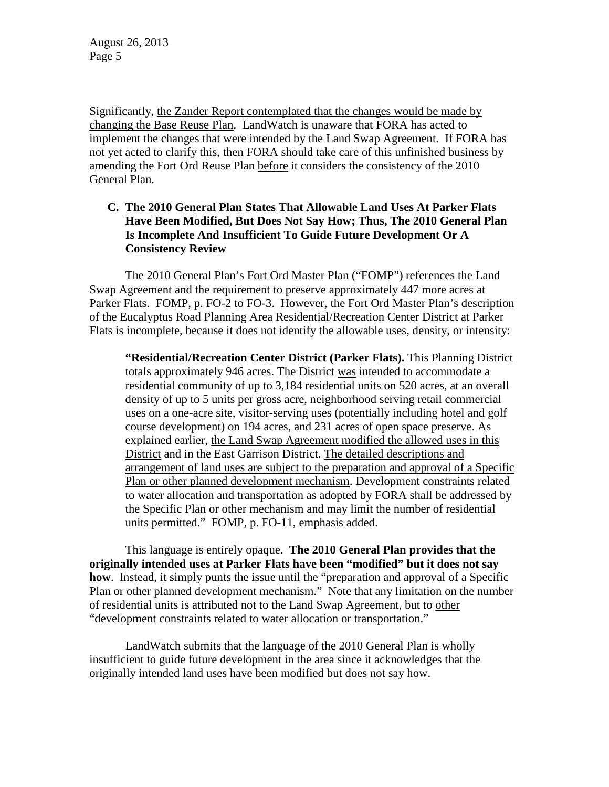Significantly, the Zander Report contemplated that the changes would be made by changing the Base Reuse Plan. LandWatch is unaware that FORA has acted to implement the changes that were intended by the Land Swap Agreement. If FORA has not yet acted to clarify this, then FORA should take care of this unfinished business by amending the Fort Ord Reuse Plan before it considers the consistency of the 2010 General Plan.

## **C. The 2010 General Plan States That Allowable Land Uses At Parker Flats Have Been Modified, But Does Not Say How; Thus, The 2010 General Plan Is Incomplete And Insufficient To Guide Future Development Or A Consistency Review**

The 2010 General Plan's Fort Ord Master Plan ("FOMP") references the Land Swap Agreement and the requirement to preserve approximately 447 more acres at Parker Flats. FOMP, p. FO-2 to FO-3. However, the Fort Ord Master Plan's description of the Eucalyptus Road Planning Area Residential/Recreation Center District at Parker Flats is incomplete, because it does not identify the allowable uses, density, or intensity:

**"Residential/Recreation Center District (Parker Flats).** This Planning District totals approximately 946 acres. The District was intended to accommodate a residential community of up to 3,184 residential units on 520 acres, at an overall density of up to 5 units per gross acre, neighborhood serving retail commercial uses on a one-acre site, visitor-serving uses (potentially including hotel and golf course development) on 194 acres, and 231 acres of open space preserve. As explained earlier, the Land Swap Agreement modified the allowed uses in this District and in the East Garrison District. The detailed descriptions and arrangement of land uses are subject to the preparation and approval of a Specific Plan or other planned development mechanism. Development constraints related to water allocation and transportation as adopted by FORA shall be addressed by the Specific Plan or other mechanism and may limit the number of residential units permitted." FOMP, p. FO-11, emphasis added.

This language is entirely opaque. **The 2010 General Plan provides that the originally intended uses at Parker Flats have been "modified" but it does not say how**. Instead, it simply punts the issue until the "preparation and approval of a Specific Plan or other planned development mechanism." Note that any limitation on the number of residential units is attributed not to the Land Swap Agreement, but to other "development constraints related to water allocation or transportation."

LandWatch submits that the language of the 2010 General Plan is wholly insufficient to guide future development in the area since it acknowledges that the originally intended land uses have been modified but does not say how.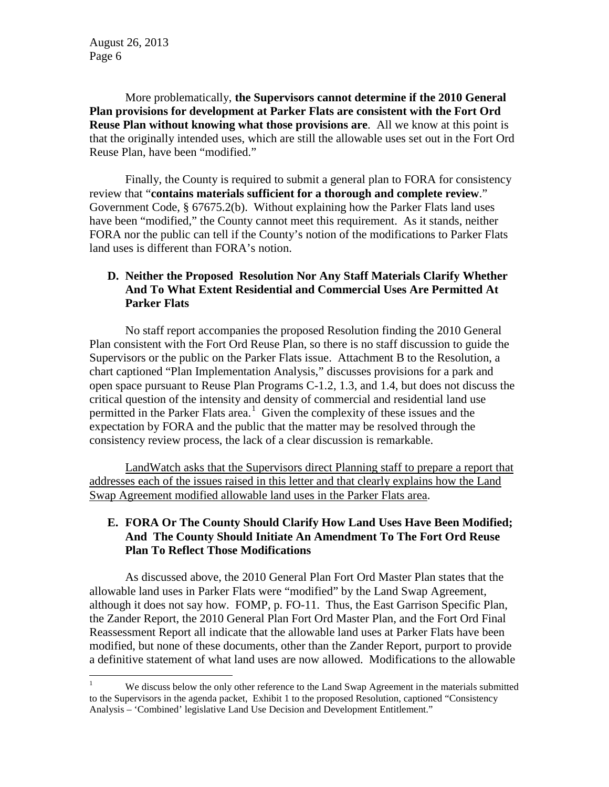More problematically, **the Supervisors cannot determine if the 2010 General Plan provisions for development at Parker Flats are consistent with the Fort Ord Reuse Plan without knowing what those provisions are**. All we know at this point is that the originally intended uses, which are still the allowable uses set out in the Fort Ord Reuse Plan, have been "modified."

Finally, the County is required to submit a general plan to FORA for consistency review that "**contains materials sufficient for a thorough and complete review**." Government Code, § 67675.2(b). Without explaining how the Parker Flats land uses have been "modified," the County cannot meet this requirement. As it stands, neither FORA nor the public can tell if the County's notion of the modifications to Parker Flats land uses is different than FORA's notion.

### **D. Neither the Proposed Resolution Nor Any Staff Materials Clarify Whether And To What Extent Residential and Commercial Uses Are Permitted At Parker Flats**

No staff report accompanies the proposed Resolution finding the 2010 General Plan consistent with the Fort Ord Reuse Plan, so there is no staff discussion to guide the Supervisors or the public on the Parker Flats issue. Attachment B to the Resolution, a chart captioned "Plan Implementation Analysis," discusses provisions for a park and open space pursuant to Reuse Plan Programs C-1.2, 1.3, and 1.4, but does not discuss the critical question of the intensity and density of commercial and residential land use permitted in the Parker Flats area.<sup>[1](#page-5-0)</sup> Given the complexity of these issues and the expectation by FORA and the public that the matter may be resolved through the consistency review process, the lack of a clear discussion is remarkable.

LandWatch asks that the Supervisors direct Planning staff to prepare a report that addresses each of the issues raised in this letter and that clearly explains how the Land Swap Agreement modified allowable land uses in the Parker Flats area.

# **E. FORA Or The County Should Clarify How Land Uses Have Been Modified; And The County Should Initiate An Amendment To The Fort Ord Reuse Plan To Reflect Those Modifications**

As discussed above, the 2010 General Plan Fort Ord Master Plan states that the allowable land uses in Parker Flats were "modified" by the Land Swap Agreement, although it does not say how. FOMP, p. FO-11. Thus, the East Garrison Specific Plan, the Zander Report, the 2010 General Plan Fort Ord Master Plan, and the Fort Ord Final Reassessment Report all indicate that the allowable land uses at Parker Flats have been modified, but none of these documents, other than the Zander Report, purport to provide a definitive statement of what land uses are now allowed. Modifications to the allowable

<span id="page-5-0"></span><sup>&</sup>lt;sup>1</sup> We discuss below the only other reference to the Land Swap Agreement in the materials submitted to the Supervisors in the agenda packet, Exhibit 1 to the proposed Resolution, captioned "Consistency Analysis – 'Combined' legislative Land Use Decision and Development Entitlement."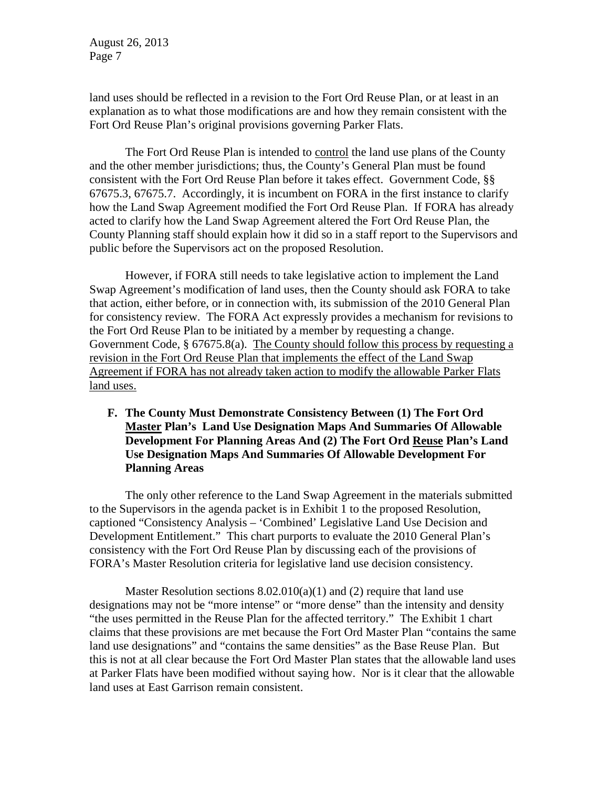land uses should be reflected in a revision to the Fort Ord Reuse Plan, or at least in an explanation as to what those modifications are and how they remain consistent with the Fort Ord Reuse Plan's original provisions governing Parker Flats.

The Fort Ord Reuse Plan is intended to control the land use plans of the County and the other member jurisdictions; thus, the County's General Plan must be found consistent with the Fort Ord Reuse Plan before it takes effect. Government Code, §§ 67675.3, 67675.7. Accordingly, it is incumbent on FORA in the first instance to clarify how the Land Swap Agreement modified the Fort Ord Reuse Plan. If FORA has already acted to clarify how the Land Swap Agreement altered the Fort Ord Reuse Plan, the County Planning staff should explain how it did so in a staff report to the Supervisors and public before the Supervisors act on the proposed Resolution.

However, if FORA still needs to take legislative action to implement the Land Swap Agreement's modification of land uses, then the County should ask FORA to take that action, either before, or in connection with, its submission of the 2010 General Plan for consistency review. The FORA Act expressly provides a mechanism for revisions to the Fort Ord Reuse Plan to be initiated by a member by requesting a change. Government Code, § 67675.8(a). The County should follow this process by requesting a revision in the Fort Ord Reuse Plan that implements the effect of the Land Swap Agreement if FORA has not already taken action to modify the allowable Parker Flats land uses.

**F. The County Must Demonstrate Consistency Between (1) The Fort Ord Master Plan's Land Use Designation Maps And Summaries Of Allowable Development For Planning Areas And (2) The Fort Ord Reuse Plan's Land Use Designation Maps And Summaries Of Allowable Development For Planning Areas**

The only other reference to the Land Swap Agreement in the materials submitted to the Supervisors in the agenda packet is in Exhibit 1 to the proposed Resolution, captioned "Consistency Analysis – 'Combined' Legislative Land Use Decision and Development Entitlement." This chart purports to evaluate the 2010 General Plan's consistency with the Fort Ord Reuse Plan by discussing each of the provisions of FORA's Master Resolution criteria for legislative land use decision consistency.

Master Resolution sections 8.02.010(a)(1) and (2) require that land use designations may not be "more intense" or "more dense" than the intensity and density "the uses permitted in the Reuse Plan for the affected territory." The Exhibit 1 chart claims that these provisions are met because the Fort Ord Master Plan "contains the same land use designations" and "contains the same densities" as the Base Reuse Plan. But this is not at all clear because the Fort Ord Master Plan states that the allowable land uses at Parker Flats have been modified without saying how. Nor is it clear that the allowable land uses at East Garrison remain consistent.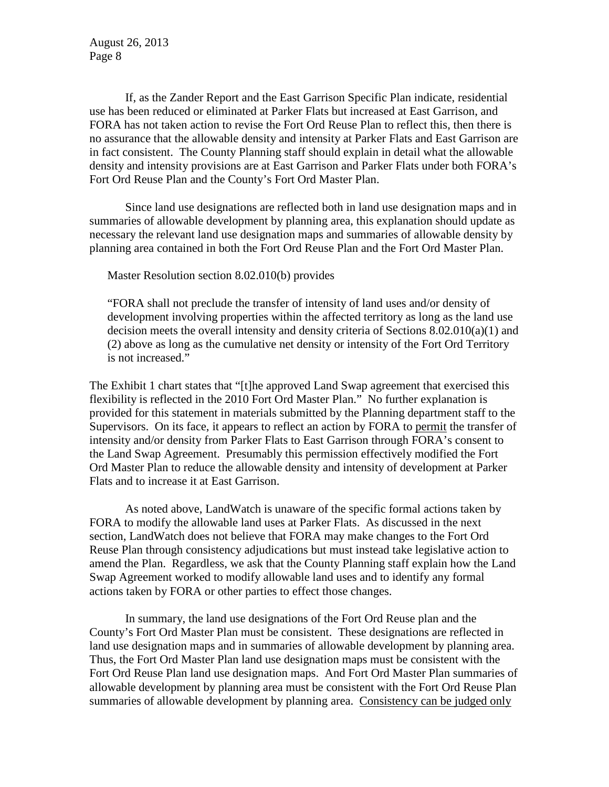If, as the Zander Report and the East Garrison Specific Plan indicate, residential use has been reduced or eliminated at Parker Flats but increased at East Garrison, and FORA has not taken action to revise the Fort Ord Reuse Plan to reflect this, then there is no assurance that the allowable density and intensity at Parker Flats and East Garrison are in fact consistent. The County Planning staff should explain in detail what the allowable density and intensity provisions are at East Garrison and Parker Flats under both FORA's Fort Ord Reuse Plan and the County's Fort Ord Master Plan.

Since land use designations are reflected both in land use designation maps and in summaries of allowable development by planning area, this explanation should update as necessary the relevant land use designation maps and summaries of allowable density by planning area contained in both the Fort Ord Reuse Plan and the Fort Ord Master Plan.

Master Resolution section 8.02.010(b) provides

"FORA shall not preclude the transfer of intensity of land uses and/or density of development involving properties within the affected territory as long as the land use decision meets the overall intensity and density criteria of Sections 8.02.010(a)(1) and (2) above as long as the cumulative net density or intensity of the Fort Ord Territory is not increased."

The Exhibit 1 chart states that "[t]he approved Land Swap agreement that exercised this flexibility is reflected in the 2010 Fort Ord Master Plan." No further explanation is provided for this statement in materials submitted by the Planning department staff to the Supervisors. On its face, it appears to reflect an action by FORA to permit the transfer of intensity and/or density from Parker Flats to East Garrison through FORA's consent to the Land Swap Agreement. Presumably this permission effectively modified the Fort Ord Master Plan to reduce the allowable density and intensity of development at Parker Flats and to increase it at East Garrison.

As noted above, LandWatch is unaware of the specific formal actions taken by FORA to modify the allowable land uses at Parker Flats. As discussed in the next section, LandWatch does not believe that FORA may make changes to the Fort Ord Reuse Plan through consistency adjudications but must instead take legislative action to amend the Plan. Regardless, we ask that the County Planning staff explain how the Land Swap Agreement worked to modify allowable land uses and to identify any formal actions taken by FORA or other parties to effect those changes.

In summary, the land use designations of the Fort Ord Reuse plan and the County's Fort Ord Master Plan must be consistent. These designations are reflected in land use designation maps and in summaries of allowable development by planning area. Thus, the Fort Ord Master Plan land use designation maps must be consistent with the Fort Ord Reuse Plan land use designation maps. And Fort Ord Master Plan summaries of allowable development by planning area must be consistent with the Fort Ord Reuse Plan summaries of allowable development by planning area. Consistency can be judged only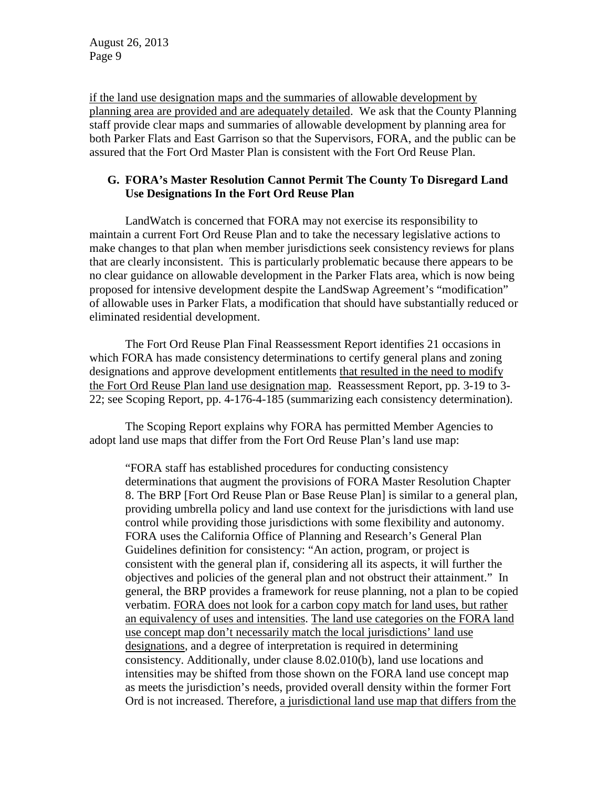if the land use designation maps and the summaries of allowable development by planning area are provided and are adequately detailed. We ask that the County Planning staff provide clear maps and summaries of allowable development by planning area for both Parker Flats and East Garrison so that the Supervisors, FORA, and the public can be assured that the Fort Ord Master Plan is consistent with the Fort Ord Reuse Plan.

### **G. FORA's Master Resolution Cannot Permit The County To Disregard Land Use Designations In the Fort Ord Reuse Plan**

LandWatch is concerned that FORA may not exercise its responsibility to maintain a current Fort Ord Reuse Plan and to take the necessary legislative actions to make changes to that plan when member jurisdictions seek consistency reviews for plans that are clearly inconsistent. This is particularly problematic because there appears to be no clear guidance on allowable development in the Parker Flats area, which is now being proposed for intensive development despite the LandSwap Agreement's "modification" of allowable uses in Parker Flats, a modification that should have substantially reduced or eliminated residential development.

The Fort Ord Reuse Plan Final Reassessment Report identifies 21 occasions in which FORA has made consistency determinations to certify general plans and zoning designations and approve development entitlements that resulted in the need to modify the Fort Ord Reuse Plan land use designation map. Reassessment Report, pp. 3-19 to 3- 22; see Scoping Report, pp. 4-176-4-185 (summarizing each consistency determination).

The Scoping Report explains why FORA has permitted Member Agencies to adopt land use maps that differ from the Fort Ord Reuse Plan's land use map:

"FORA staff has established procedures for conducting consistency determinations that augment the provisions of FORA Master Resolution Chapter 8. The BRP [Fort Ord Reuse Plan or Base Reuse Plan] is similar to a general plan, providing umbrella policy and land use context for the jurisdictions with land use control while providing those jurisdictions with some flexibility and autonomy. FORA uses the California Office of Planning and Research's General Plan Guidelines definition for consistency: "An action, program, or project is consistent with the general plan if, considering all its aspects, it will further the objectives and policies of the general plan and not obstruct their attainment." In general, the BRP provides a framework for reuse planning, not a plan to be copied verbatim. FORA does not look for a carbon copy match for land uses, but rather an equivalency of uses and intensities. The land use categories on the FORA land use concept map don't necessarily match the local jurisdictions' land use designations, and a degree of interpretation is required in determining consistency. Additionally, under clause 8.02.010(b), land use locations and intensities may be shifted from those shown on the FORA land use concept map as meets the jurisdiction's needs, provided overall density within the former Fort Ord is not increased. Therefore, a jurisdictional land use map that differs from the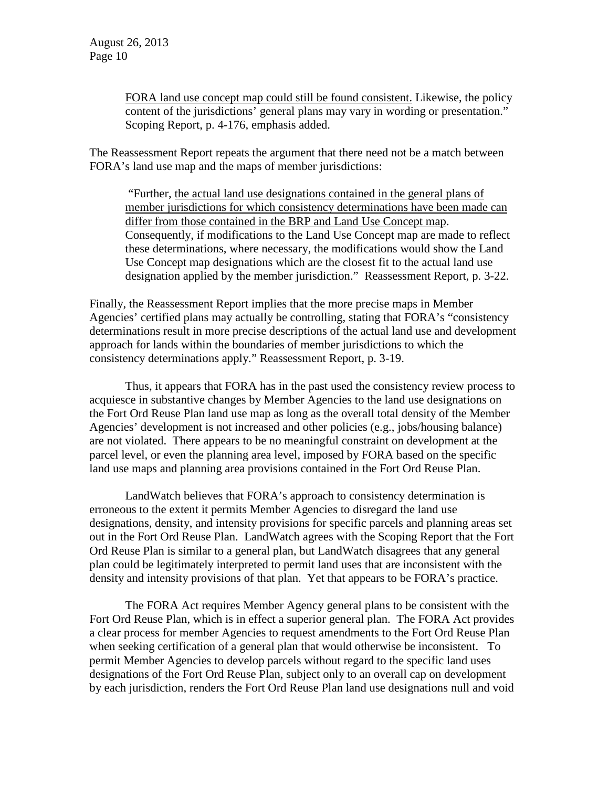FORA land use concept map could still be found consistent. Likewise, the policy content of the jurisdictions' general plans may vary in wording or presentation." Scoping Report, p. 4-176, emphasis added.

The Reassessment Report repeats the argument that there need not be a match between FORA's land use map and the maps of member jurisdictions:

"Further, the actual land use designations contained in the general plans of member jurisdictions for which consistency determinations have been made can differ from those contained in the BRP and Land Use Concept map. Consequently, if modifications to the Land Use Concept map are made to reflect these determinations, where necessary, the modifications would show the Land Use Concept map designations which are the closest fit to the actual land use designation applied by the member jurisdiction." Reassessment Report, p. 3-22.

Finally, the Reassessment Report implies that the more precise maps in Member Agencies' certified plans may actually be controlling, stating that FORA's "consistency determinations result in more precise descriptions of the actual land use and development approach for lands within the boundaries of member jurisdictions to which the consistency determinations apply." Reassessment Report, p. 3-19.

Thus, it appears that FORA has in the past used the consistency review process to acquiesce in substantive changes by Member Agencies to the land use designations on the Fort Ord Reuse Plan land use map as long as the overall total density of the Member Agencies' development is not increased and other policies (e.g., jobs/housing balance) are not violated. There appears to be no meaningful constraint on development at the parcel level, or even the planning area level, imposed by FORA based on the specific land use maps and planning area provisions contained in the Fort Ord Reuse Plan.

LandWatch believes that FORA's approach to consistency determination is erroneous to the extent it permits Member Agencies to disregard the land use designations, density, and intensity provisions for specific parcels and planning areas set out in the Fort Ord Reuse Plan. LandWatch agrees with the Scoping Report that the Fort Ord Reuse Plan is similar to a general plan, but LandWatch disagrees that any general plan could be legitimately interpreted to permit land uses that are inconsistent with the density and intensity provisions of that plan. Yet that appears to be FORA's practice.

The FORA Act requires Member Agency general plans to be consistent with the Fort Ord Reuse Plan, which is in effect a superior general plan. The FORA Act provides a clear process for member Agencies to request amendments to the Fort Ord Reuse Plan when seeking certification of a general plan that would otherwise be inconsistent. To permit Member Agencies to develop parcels without regard to the specific land uses designations of the Fort Ord Reuse Plan, subject only to an overall cap on development by each jurisdiction, renders the Fort Ord Reuse Plan land use designations null and void